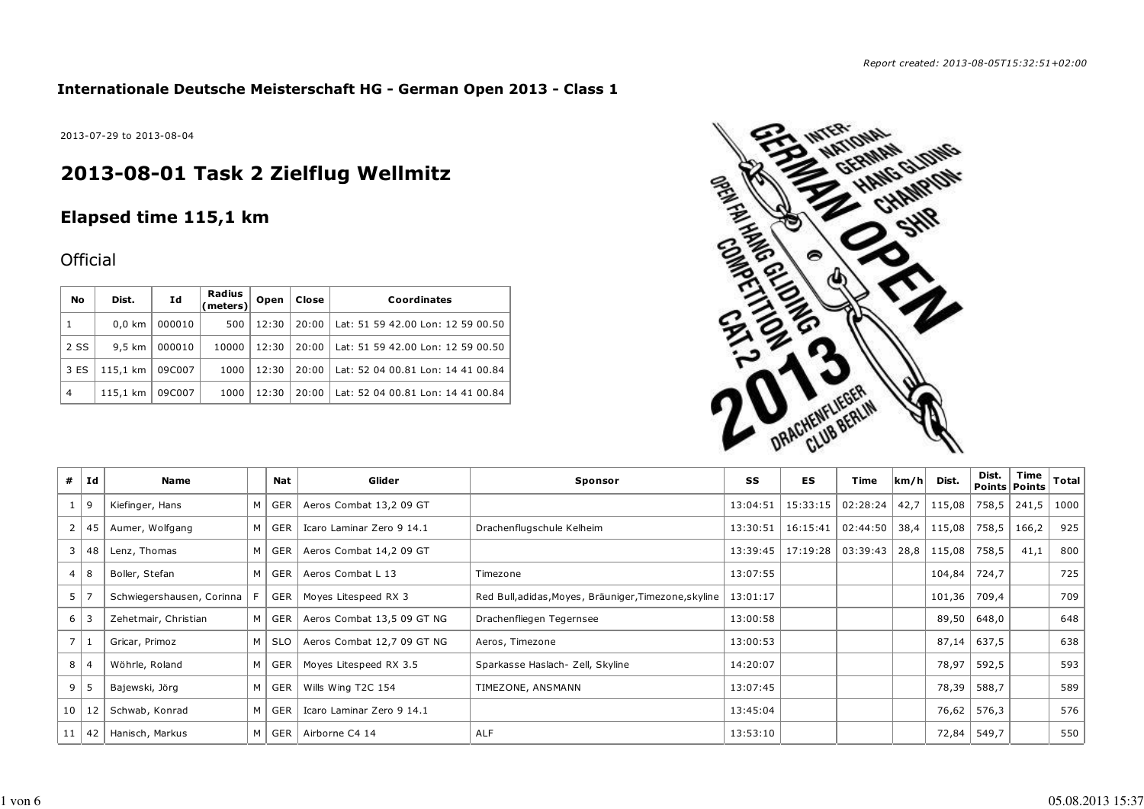### **Internationale Deutsche Meisterschaft HG - German Open 2013 - Class 1**

2013-07-29 to 2013-08-04

# **2013-08-01 Task 2 Zielflug Wellmitz**

# **Elapsed time 115,1 km**

## **Official**

| No             | Dist.            | Id     | Radius<br>(meters) | Open  | Close | Coordinates                       |
|----------------|------------------|--------|--------------------|-------|-------|-----------------------------------|
|                | $0.0 \text{ km}$ | 000010 | 500                | 12:30 | 20:00 | Lat: 51 59 42.00 Lon: 12 59 00.50 |
| 2 SS           | 9.5 km           | 000010 | 10000              | 12:30 | 20:00 | Lat: 51 59 42.00 Lon: 12 59 00.50 |
| 3 ES           | 115,1 km         | 09C007 | 1000               | 12:30 | 20:00 | Lat: 52 04 00.81 Lon: 14 41 00.84 |
| $\overline{4}$ | 115,1 km         | 09C007 | 1000               | 12:30 | 20:00 | Lat: 52 04 00.81 Lon: 14 41 00.84 |



| #              | Id | Name                      |   | Nat        | Glider                     | Sponsor                                               | SS       | ES                  | Time     | km/h | Dist.  | Dist. | Time<br>Points   Points | Total |
|----------------|----|---------------------------|---|------------|----------------------------|-------------------------------------------------------|----------|---------------------|----------|------|--------|-------|-------------------------|-------|
|                | 9  | Kiefinger, Hans           | M | GER        | Aeros Combat 13,2 09 GT    |                                                       | 13:04:51 | 15:33:15            | 02:28:24 | 42,7 | 115,08 | 758,5 | 241,5                   | 1000  |
| 2              | 45 | Aumer, Wolfgang           | M | GER        | Icaro Laminar Zero 9 14.1  | Drachenflugschule Kelheim                             | 13:30:51 | 16:15:41            | 02:44:50 | 38,4 | 115,08 | 758,5 | 166,2                   | 925   |
| 3              | 48 | Lenz, Thomas              | M | GER        | Aeros Combat 14,2 09 GT    |                                                       | 13:39:45 | 17:19:28   03:39:43 |          | 28,8 | 115,08 | 758,5 | 41,1                    | 800   |
| $\overline{4}$ | 8  | Boller, Stefan            | м | GER        | Aeros Combat L 13          | Timezone                                              | 13:07:55 |                     |          |      | 104,84 | 724,7 |                         | 725   |
| 5              |    | Schwiegershausen, Corinna |   | <b>GER</b> | Moyes Litespeed RX 3       | Red Bull, adidas, Moyes, Bräuniger, Timezone, skyline | 13:01:17 |                     |          |      | 101,36 | 709,4 |                         | 709   |
| 6              |    | Zehetmair, Christian      | M | GER        | Aeros Combat 13,5 09 GT NG | Drachenfliegen Tegernsee                              | 13:00:58 |                     |          |      | 89,50  | 648,0 |                         | 648   |
| 7 <sup>1</sup> |    | Gricar, Primoz            | M | <b>SLO</b> | Aeros Combat 12,7 09 GT NG | Aeros, Timezone                                       | 13:00:53 |                     |          |      | 87,14  | 637,5 |                         | 638   |
| 8              |    | Wöhrle, Roland            | M | GER        | Moyes Litespeed RX 3.5     | Sparkasse Haslach- Zell, Skyline                      | 14:20:07 |                     |          |      | 78,97  | 592,5 |                         | 593   |
| 9              | -5 | Bajewski, Jörg            | M | GER        | Wills Wing T2C 154         | TIMEZONE, ANSMANN                                     | 13:07:45 |                     |          |      | 78,39  | 588,7 |                         | 589   |
| 10             | 12 | Schwab, Konrad            | м | GER        | Icaro Laminar Zero 9 14.1  |                                                       | 13:45:04 |                     |          |      | 76,62  | 576,3 |                         | 576   |
| 11             | 42 | Hanisch, Markus           | M | GER        | Airborne C4 14             | <b>ALF</b>                                            | 13:53:10 |                     |          |      | 72,84  | 549,7 |                         | 550   |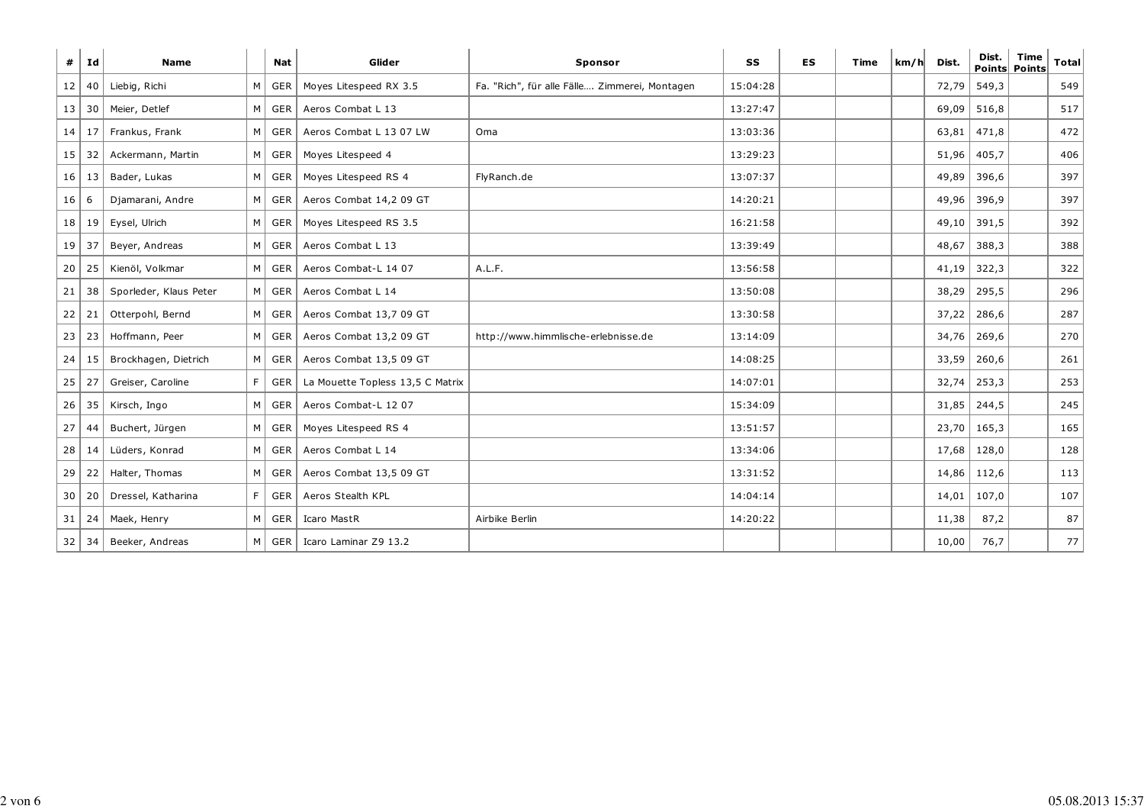| #  | Id        | <b>Name</b>            |                | <b>Nat</b>    | Glider                           | Sponsor                                       | SS       | ES | Time | km/h | Dist. | Dist. | <b>Time</b><br>Points Points | <b>Total</b> |
|----|-----------|------------------------|----------------|---------------|----------------------------------|-----------------------------------------------|----------|----|------|------|-------|-------|------------------------------|--------------|
| 12 | 40        | Liebig, Richi          | M              | GER           | Moyes Litespeed RX 3.5           | Fa. "Rich", für alle Fälle Zimmerei, Montagen | 15:04:28 |    |      |      | 72,79 | 549,3 |                              | 549          |
| 13 | 30        | Meier, Detlef          | M <sub>1</sub> | GER           | Aeros Combat L 13                |                                               | 13:27:47 |    |      |      | 69,09 | 516,8 |                              | 517          |
| 14 | 17        | Frankus, Frank         |                | M   GER       | Aeros Combat L 13 07 LW          | Oma                                           | 13:03:36 |    |      |      | 63,81 | 471,8 |                              | 472          |
| 15 | 32        | Ackermann, Martin      |                | M GER         | Moyes Litespeed 4                |                                               | 13:29:23 |    |      |      | 51,96 | 405,7 |                              | 406          |
|    | 16 13     | Bader, Lukas           |                | M GER         | Moyes Litespeed RS 4             | FlyRanch.de                                   | 13:07:37 |    |      |      | 49,89 | 396,6 |                              | 397          |
| 16 | 6         | Djamarani, Andre       | M <sub>1</sub> | GER           | Aeros Combat 14,2 09 GT          |                                               | 14:20:21 |    |      |      | 49,96 | 396,9 |                              | 397          |
|    | 18 19     | Eysel, Ulrich          |                | M GER         | Moyes Litespeed RS 3.5           |                                               | 16:21:58 |    |      |      | 49,10 | 391,5 |                              | 392          |
| 19 | 37        | Beyer, Andreas         |                | M GER         | Aeros Combat L 13                |                                               | 13:39:49 |    |      |      | 48,67 | 388,3 |                              | 388          |
| 20 | 25        | Kienöl, Volkmar        | M              | GER           | Aeros Combat-L 14 07             | A.L.F.                                        | 13:56:58 |    |      |      | 41,19 | 322,3 |                              | 322          |
| 21 | 38        | Sporleder, Klaus Peter |                | M GER         | Aeros Combat L 14                |                                               | 13:50:08 |    |      |      | 38,29 | 295,5 |                              | 296          |
| 22 | 21        | Otterpohl, Bernd       |                | M GER         | Aeros Combat 13,7 09 GT          |                                               | 13:30:58 |    |      |      | 37,22 | 286,6 |                              | 287          |
| 23 | 23        | Hoffmann, Peer         |                | M GER         | Aeros Combat 13,2 09 GT          | http://www.himmlische-erlebnisse.de           | 13:14:09 |    |      |      | 34,76 | 269,6 |                              | 270          |
| 24 | 15        | Brockhagen, Dietrich   |                | M GER         | Aeros Combat 13,5 09 GT          |                                               | 14:08:25 |    |      |      | 33,59 | 260,6 |                              | 261          |
|    | $25$   27 | Greiser, Caroline      | F              | GER           | La Mouette Topless 13,5 C Matrix |                                               | 14:07:01 |    |      |      | 32,74 | 253,3 |                              | 253          |
| 26 | 35        | Kirsch, Ingo           | $M \mid$       | GER           | Aeros Combat-L 12 07             |                                               | 15:34:09 |    |      |      | 31,85 | 244,5 |                              | 245          |
| 27 | 44        | Buchert, Jürgen        |                | M GER         | Moyes Litespeed RS 4             |                                               | 13:51:57 |    |      |      | 23,70 | 165,3 |                              | 165          |
| 28 | 14        | Lüders, Konrad         |                | $M \mid GER$  | Aeros Combat L 14                |                                               | 13:34:06 |    |      |      | 17,68 | 128,0 |                              | 128          |
| 29 | 22        | Halter, Thomas         |                | $M \vert$ GER | Aeros Combat 13,5 09 GT          |                                               | 13:31:52 |    |      |      | 14,86 | 112,6 |                              | 113          |
| 30 | 20        | Dressel, Katharina     | F              | GER           | Aeros Stealth KPL                |                                               | 14:04:14 |    |      |      | 14,01 | 107,0 |                              | 107          |
| 31 | 24        | Maek, Henry            |                | $M \vert$ GER | Icaro MastR                      | Airbike Berlin                                | 14:20:22 |    |      |      | 11,38 | 87,2  |                              | 87           |
| 32 |           | 34   Beeker, Andreas   |                | M GER         | Icaro Laminar Z9 13.2            |                                               |          |    |      |      | 10,00 | 76,7  |                              | 77           |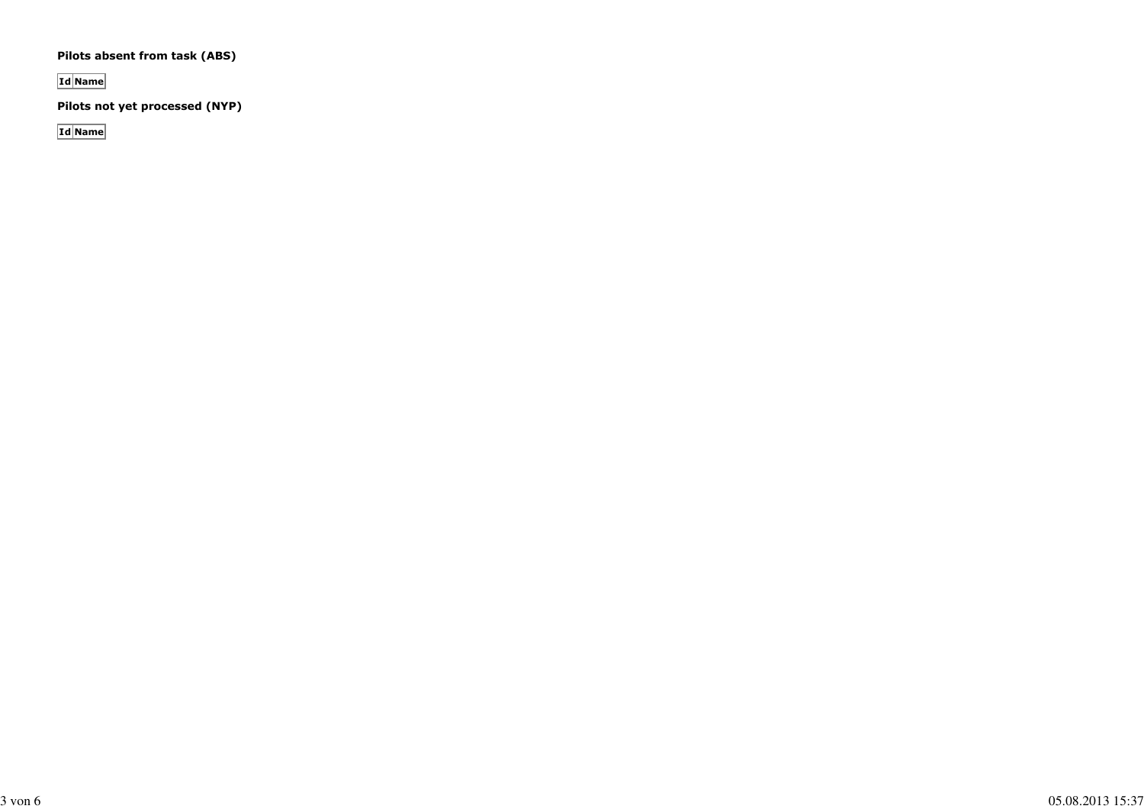#### **Pilots absent from task (ABS)**

**Id Name**

**Pilots not yet processed (NYP)**

**Id Name**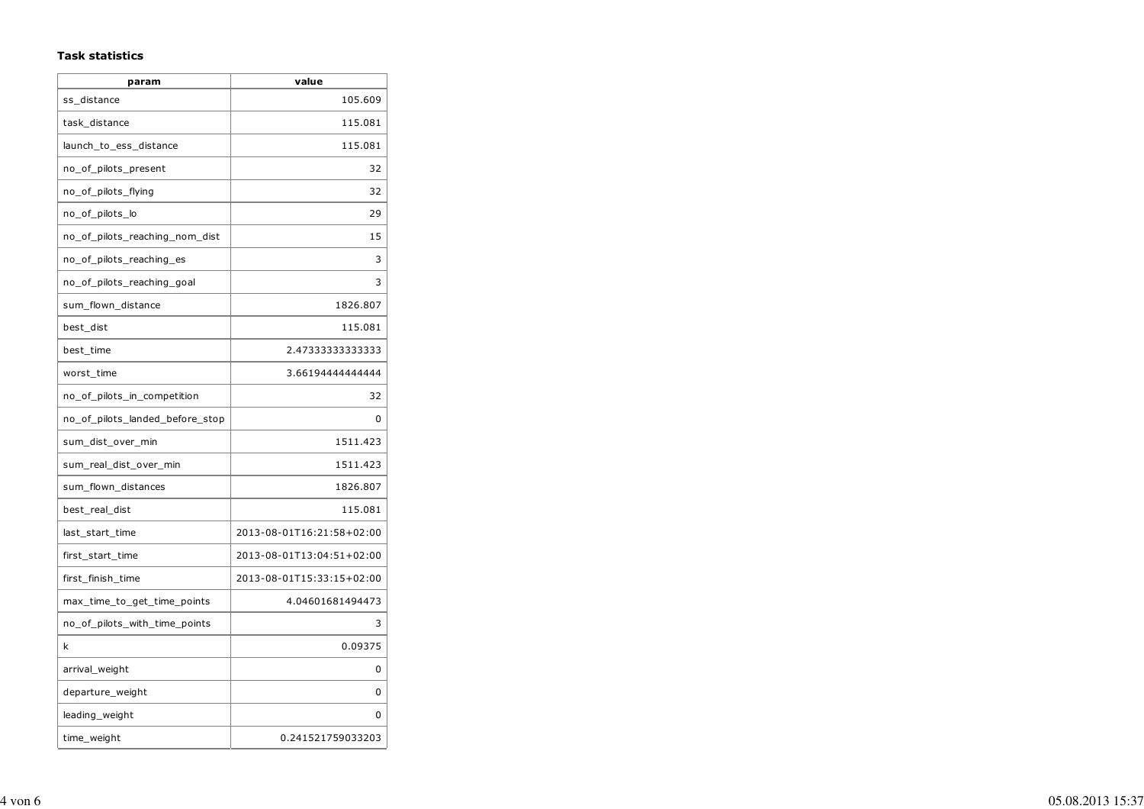#### **Task statistics**

| param                           | value                     |
|---------------------------------|---------------------------|
| ss distance                     | 105.609                   |
| task distance                   | 115.081                   |
| launch_to_ess_distance          | 115.081                   |
| no_of_pilots_present            | 32                        |
| no_of_pilots_flying             | 32                        |
| no_of_pilots_lo                 | 29                        |
| no_of_pilots_reaching_nom_dist  | 15                        |
| no_of_pilots_reaching_es        | 3                         |
| no_of_pilots_reaching_goal      | 3                         |
| sum_flown_distance              | 1826.807                  |
| best_dist                       | 115.081                   |
| best_time                       | 2.47333333333333          |
| worst_time                      | 3.66194444444444          |
| no_of_pilots_in_competition     | 32                        |
| no_of_pilots_landed_before_stop | 0                         |
| sum_dist_over_min               | 1511.423                  |
| sum_real_dist_over_min          | 1511.423                  |
| sum_flown_distances             | 1826.807                  |
| best_real_dist                  | 115.081                   |
| last_start_time                 | 2013-08-01T16:21:58+02:00 |
| first_start_time                | 2013-08-01T13:04:51+02:00 |
| first_finish_time               | 2013-08-01T15:33:15+02:00 |
| max_time_to_get_time_points     | 4.04601681494473          |
| no_of_pilots_with_time_points   | 3                         |
| k                               | 0.09375                   |
| arrival_weight                  | 0                         |
| departure_weight                | 0                         |
| leading_weight                  | 0                         |
| time_weight                     | 0.241521759033203         |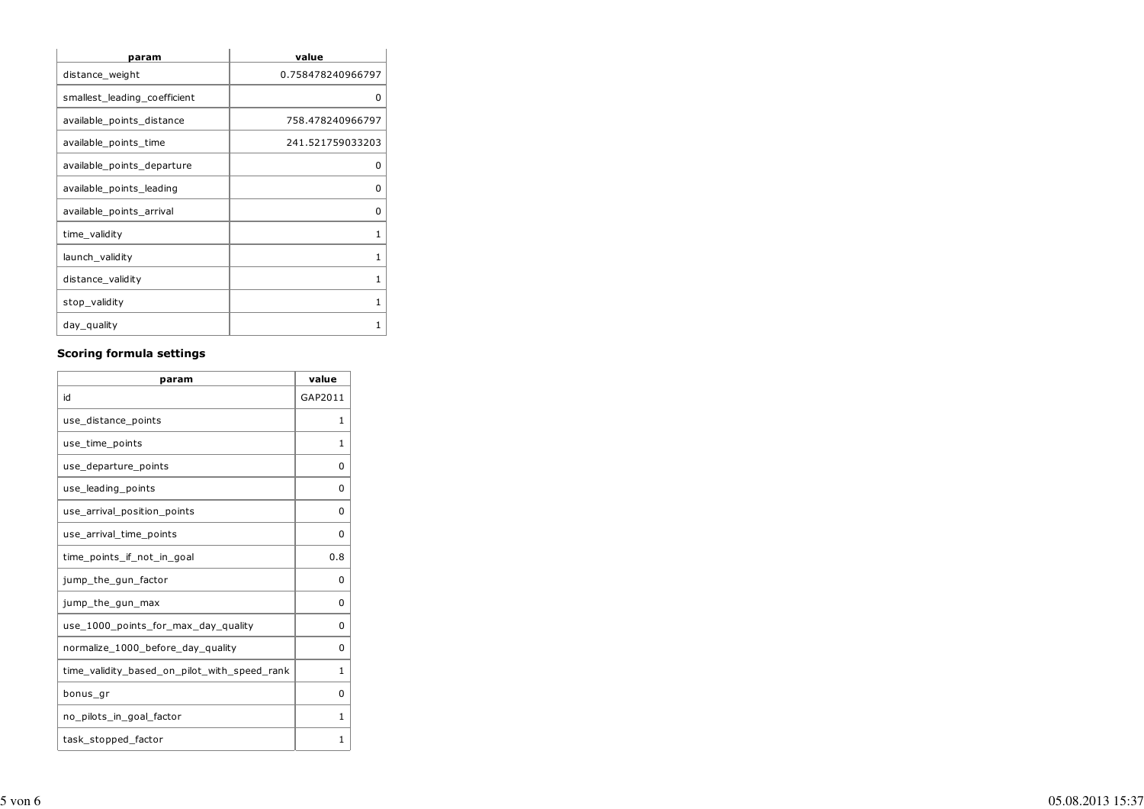| param                        | value             |
|------------------------------|-------------------|
| distance_weight              | 0.758478240966797 |
| smallest leading coefficient | 0                 |
| available_points_distance    | 758.478240966797  |
| available_points_time        | 241.521759033203  |
| available_points_departure   | ŋ                 |
| available_points_leading     | ŋ                 |
| available_points_arrival     | O                 |
| time_validity                | 1                 |
| launch_validity              | 1                 |
| distance_validity            | 1                 |
| stop_validity                | 1                 |
| day_quality                  |                   |

### **Scoring formula settings**

| param                                        | value    |
|----------------------------------------------|----------|
| id                                           | GAP2011  |
| use_distance_points                          | 1        |
| use_time_points                              | 1        |
| use_departure_points                         | 0        |
| use_leading_points                           | 0        |
| use arrival position points                  | $\Omega$ |
| use_arrival_time_points                      | 0        |
| time_points_if_not_in_goal                   | 0.8      |
| jump_the_gun_factor                          | O        |
| jump_the_gun_max                             | 0        |
| use_1000_points_for_max_day_quality          | $\Omega$ |
| normalize_1000_before_day_quality            | 0        |
| time_validity_based_on_pilot_with_speed_rank | 1        |
| bonus_gr                                     | 0        |
| no_pilots_in_goal_factor                     | 1        |
| task_stopped_factor                          | 1        |